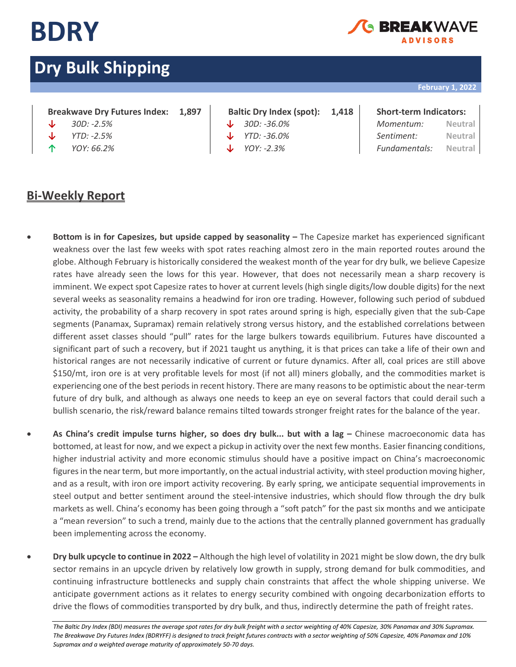

## EAKWA\ **ADVISORS**

# **Dry Bulk Shipping**

## **February 1, 2022**

## **Breakwave Dry Futures Index: 1,897 Baltic Dry Index (spot): 1,418 Short-term Indicators:**

- 
- 
- 

- 
- 
- 

| J∠ | 30D: -2.5%            | $\downarrow$ 30D: -36.0% | Momentum:                    | Neutral |
|----|-----------------------|--------------------------|------------------------------|---------|
|    | $\sqrt{1}$ YTD: -2.5% | $\sqrt{7D}$ : -36.0%     | Sentiment:                   | Neutral |
| Υ. | YOY: 66.2%            | $\downarrow$ YOY: -2.3%  | <i>Fundamentals:</i> Neutral |         |

## **Bi-Weekly Report**

- **Bottom is in for Capesizes, but upside capped by seasonality –** The Capesize market has experienced significant weakness over the last few weeks with spot rates reaching almost zero in the main reported routes around the globe. Although February is historically considered the weakest month of the year for dry bulk, we believe Capesize rates have already seen the lows for this year. However, that does not necessarily mean a sharp recovery is imminent. We expect spot Capesize rates to hover at current levels (high single digits/low double digits) for the next several weeks as seasonality remains a headwind for iron ore trading. However, following such period of subdued activity, the probability of a sharp recovery in spot rates around spring is high, especially given that the sub-Cape segments (Panamax, Supramax) remain relatively strong versus history, and the established correlations between different asset classes should "pull" rates for the large bulkers towards equilibrium. Futures have discounted a significant part of such a recovery, but if 2021 taught us anything, it is that prices can take a life of their own and historical ranges are not necessarily indicative of current or future dynamics. After all, coal prices are still above \$150/mt, iron ore is at very profitable levels for most (if not all) miners globally, and the commodities market is experiencing one of the best periods in recent history. There are many reasons to be optimistic about the near-term future of dry bulk, and although as always one needs to keep an eye on several factors that could derail such a bullish scenario, the risk/reward balance remains tilted towards stronger freight rates for the balance of the year.
- **As China's credit impulse turns higher, so does dry bulk... but with a lag –** Chinese macroeconomic data has bottomed, at least for now, and we expect a pickup in activity over the next few months. Easier financing conditions, higher industrial activity and more economic stimulus should have a positive impact on China's macroeconomic figures in the near term, but more importantly, on the actual industrial activity, with steel production moving higher, and as a result, with iron ore import activity recovering. By early spring, we anticipate sequential improvements in steel output and better sentiment around the steel-intensive industries, which should flow through the dry bulk markets as well. China's economy has been going through a "soft patch" for the past six months and we anticipate a "mean reversion" to such a trend, mainly due to the actions that the centrally planned government has gradually been implementing across the economy.
- **Dry bulk upcycle to continue in 2022 –** Although the high level of volatility in 2021 might be slow down, the dry bulk sector remains in an upcycle driven by relatively low growth in supply, strong demand for bulk commodities, and continuing infrastructure bottlenecks and supply chain constraints that affect the whole shipping universe. We anticipate government actions as it relates to energy security combined with ongoing decarbonization efforts to drive the flows of commodities transported by dry bulk, and thus, indirectly determine the path of freight rates.

The Baltic Dry Index (BDI) measures the average spot rates for dry bulk freight with a sector weighting of 40% Capesize, 30% Panamax and 30% Supramax. *The Breakwave Dry Futures Index (BDRYFF) is designed to track freight futures contracts with a sector weighting of 50% Capesize, 40% Panamax and 10% Supramax and a weighted average maturity of approximately 50-70 days.*